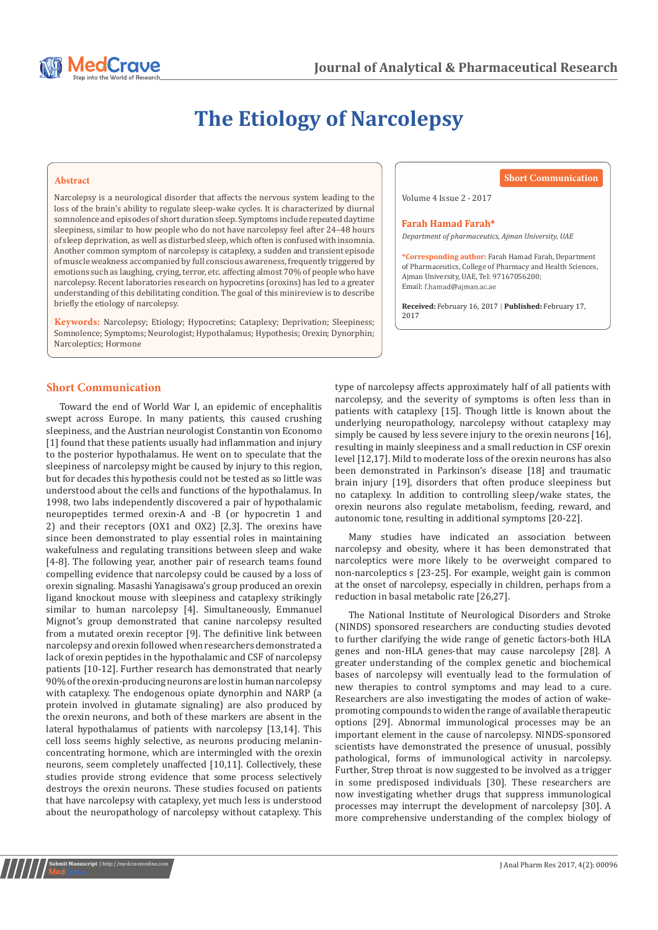

# **The Etiology of Narcolepsy**

### **Abstract**

Narcolepsy is a neurological disorder that affects the nervous system leading to the loss of the brain's ability to regulate sleep-wake cycles. It is characterized by diurnal somnolence and episodes of short duration sleep. Symptoms include repeated daytime sleepiness, similar to how people who do not have narcolepsy feel after 24–48 hours of sleep deprivation, as well as disturbed sleep, which often is confused with insomnia. Another common symptom of narcolepsy is cataplexy, a sudden and transient episode of muscle weakness accompanied by full conscious awareness, frequently triggered by emotions such as laughing, crying, terror, etc. affecting almost 70% of people who have narcolepsy. Recent laboratories research on hypocretins (oroxins) has led to a greater understanding of this debilitating condition. The goal of this minireview is to describe briefly the etiology of narcolepsy.

**Keywords:** Narcolepsy; Etiology; Hypocretins; Cataplexy; Deprivation; Sleepiness; Somnolence; Symptoms; Neurologist; Hypothalamus; Hypothesis; Orexin; Dynorphin; Narcoleptics; Hormone

**Short Communication**

Volume 4 Issue 2 - 2017

### **Farah Hamad Farah\***

*Department of pharmaceutics, Ajman University, UAE*

**\*Corresponding author:** Farah Hamad Farah, Department of Pharmaceutics, College of Pharmacy and Health Sciences, Ajman University, UAE, Tel: 97167056200; Email: f.hamad@ajman.ac.ae

**Received:** February 16, 2017 **| Published:** February 17, 2017

## **Short Communication**

**Submit Manuscript** | http://medcraveonline.com

Toward the end of World War I, an epidemic of encephalitis swept across Europe. In many patients, this caused crushing sleepiness, and the Austrian neurologist Constantin von Economo [1] found that these patients usually had inflammation and injury to the posterior hypothalamus. He went on to speculate that the sleepiness of narcolepsy might be caused by injury to this region, but for decades this hypothesis could not be tested as so little was understood about the cells and functions of the hypothalamus. In 1998, two labs independently discovered a pair of hypothalamic neuropeptides termed orexin-A and -B (or hypocretin 1 and 2) and their receptors (OX1 and OX2) [2,3]. The orexins have since been demonstrated to play essential roles in maintaining wakefulness and regulating transitions between sleep and wake [4-8]. The following year, another pair of research teams found compelling evidence that narcolepsy could be caused by a loss of orexin signaling. Masashi Yanagisawa's group produced an orexin ligand knockout mouse with sleepiness and cataplexy strikingly similar to human narcolepsy [4]. Simultaneously, Emmanuel Mignot's group demonstrated that canine narcolepsy resulted from a mutated orexin receptor [9]. The definitive link between narcolepsy and orexin followed when researchers demonstrated a lack of orexin peptides in the hypothalamic and CSF of narcolepsy patients [10-12]. Further research has demonstrated that nearly 90% of the orexin-producing neurons are lost in human narcolepsy with cataplexy. The endogenous opiate dynorphin and NARP (a protein involved in glutamate signaling) are also produced by the orexin neurons, and both of these markers are absent in the lateral hypothalamus of patients with narcolepsy [13,14]. This cell loss seems highly selective, as neurons producing melaninconcentrating hormone, which are intermingled with the orexin neurons, seem completely unaffected [10,11]. Collectively, these studies provide strong evidence that some process selectively destroys the orexin neurons. These studies focused on patients that have narcolepsy with cataplexy, yet much less is understood about the neuropathology of narcolepsy without cataplexy. This

type of narcolepsy affects approximately half of all patients with narcolepsy, and the severity of symptoms is often less than in patients with cataplexy [15]. Though little is known about the underlying neuropathology, narcolepsy without cataplexy may simply be caused by less severe injury to the orexin neurons [16], resulting in mainly sleepiness and a small reduction in CSF orexin level [12,17]. Mild to moderate loss of the orexin neurons has also been demonstrated in Parkinson's disease [18] and traumatic brain injury [19], disorders that often produce sleepiness but no cataplexy. In addition to controlling sleep/wake states, the orexin neurons also regulate metabolism, feeding, reward, and autonomic tone, resulting in additional symptoms [20-22].

Many studies have indicated an association between narcolepsy and obesity, where it has been demonstrated that narcoleptics were more likely to be overweight compared to non-narcoleptics s [23-25]. For example, weight gain is common at the onset of narcolepsy, especially in children, perhaps from a reduction in basal metabolic rate [26,27].

The National Institute of Neurological Disorders and Stroke (NINDS) sponsored researchers are conducting studies devoted to further clarifying the wide range of genetic factors-both HLA genes and non-HLA genes-that may cause narcolepsy [28]. A greater understanding of the complex genetic and biochemical bases of narcolepsy will eventually lead to the formulation of new therapies to control symptoms and may lead to a cure. Researchers are also investigating the modes of action of wakepromoting compounds to widen the range of available therapeutic options [29]. Abnormal immunological processes may be an important element in the cause of narcolepsy. NINDS-sponsored scientists have demonstrated the presence of unusual, possibly pathological, forms of immunological activity in narcolepsy. Further, Strep throat is now suggested to be involved as a trigger in some predisposed individuals [30]. These researchers are now investigating whether drugs that suppress immunological processes may interrupt the development of narcolepsy [30]. A more comprehensive understanding of the complex biology of